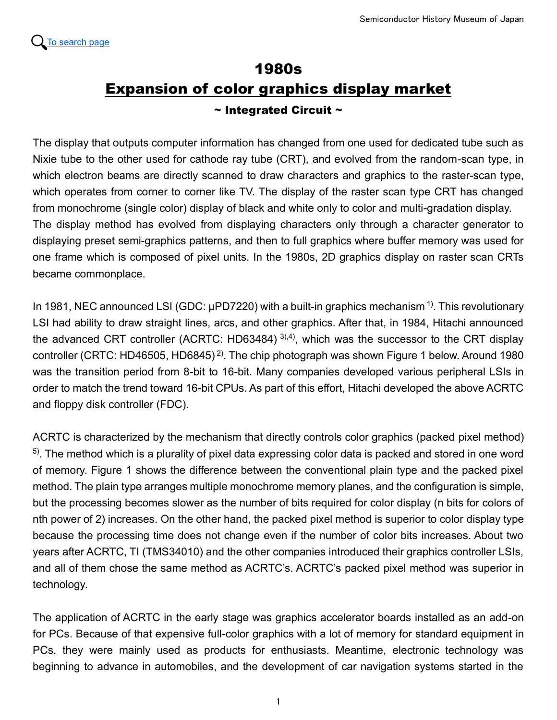

## 1980s Expansion of color graphics display market  $\sim$  Integrated Circuit  $\sim$

The display that outputs computer information has changed from one used for dedicated tube such as Nixie tube to the other used for cathode ray tube (CRT), and evolved from the random-scan type, in which electron beams are directly scanned to draw characters and graphics to the raster-scan type, which operates from corner to corner like TV. The display of the raster scan type CRT has changed from monochrome (single color) display of black and white only to color and multi-gradation display. The display method has evolved from displaying characters only through a character generator to displaying preset semi-graphics patterns, and then to full graphics where buffer memory was used for one frame which is composed of pixel units. In the 1980s, 2D graphics display on raster scan CRTs became commonplace.

In 1981, NEC announced LSI (GDC:  $\mu$ PD7220) with a built-in graphics mechanism <sup>1)</sup>. This revolutionary LSI had ability to draw straight lines, arcs, and other graphics. After that, in 1984, Hitachi announced the advanced CRT controller (ACRTC: HD63484)<sup>3),4)</sup>, which was the successor to the CRT display controller (CRTC: HD46505, HD6845) 2). The chip photograph was shown Figure 1 below. Around 1980 was the transition period from 8-bit to 16-bit. Many companies developed various peripheral LSIs in order to match the trend toward 16-bit CPUs. As part of this effort, Hitachi developed the above ACRTC and floppy disk controller (FDC).

ACRTC is characterized by the mechanism that directly controls color graphics (packed pixel method) <sup>5)</sup>. The method which is a plurality of pixel data expressing color data is packed and stored in one word of memory. Figure 1 shows the difference between the conventional plain type and the packed pixel method. The plain type arranges multiple monochrome memory planes, and the configuration is simple, but the processing becomes slower as the number of bits required for color display (n bits for colors of nth power of 2) increases. On the other hand, the packed pixel method is superior to color display type because the processing time does not change even if the number of color bits increases. About two years after ACRTC, TI (TMS34010) and the other companies introduced their graphics controller LSIs, and all of them chose the same method as ACRTC's. ACRTC's packed pixel method was superior in technology.

The application of ACRTC in the early stage was graphics accelerator boards installed as an add-on for PCs. Because of that expensive full-color graphics with a lot of memory for standard equipment in PCs, they were mainly used as products for enthusiasts. Meantime, electronic technology was beginning to advance in automobiles, and the development of car navigation systems started in the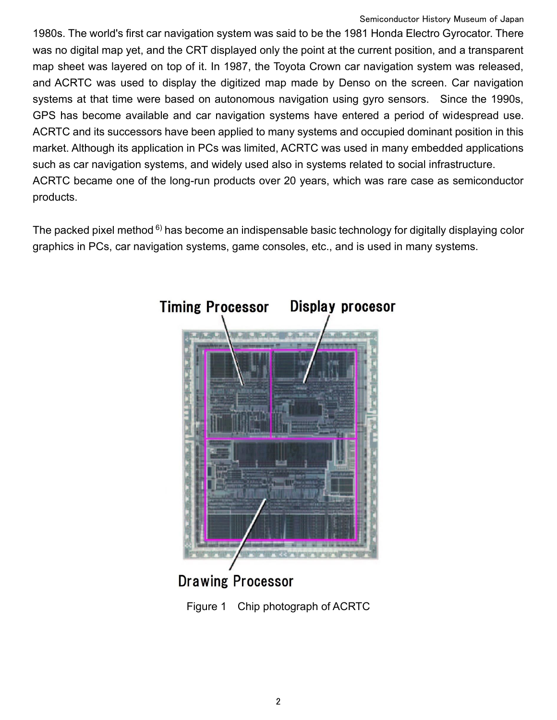1980s. The world's first car navigation system was said to be the 1981 Honda Electro Gyrocator. There was no digital map yet, and the CRT displayed only the point at the current position, and a transparent map sheet was layered on top of it. In 1987, the Toyota Crown car navigation system was released, and ACRTC was used to display the digitized map made by Denso on the screen. Car navigation systems at that time were based on autonomous navigation using gyro sensors. Since the 1990s, GPS has become available and car navigation systems have entered a period of widespread use. ACRTC and its successors have been applied to many systems and occupied dominant position in this market. Although its application in PCs was limited, ACRTC was used in many embedded applications such as car navigation systems, and widely used also in systems related to social infrastructure. ACRTC became one of the long-run products over 20 years, which was rare case as semiconductor products.

The packed pixel method  $6$ ) has become an indispensable basic technology for digitally displaying color graphics in PCs, car navigation systems, game consoles, etc., and is used in many systems.



**Drawing Processor**